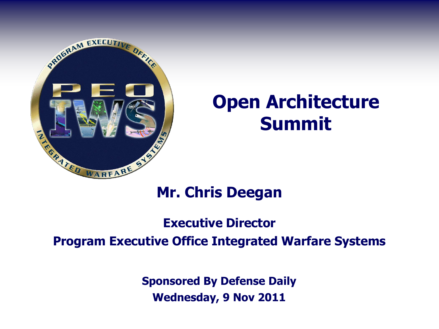

# **Open Architecture Summit**

### **Mr. Chris Deegan**

### **Executive Director**

#### **Program Executive Office Integrated Warfare Systems**

**Sponsored By Defense Daily Wednesday, 9 Nov 2011**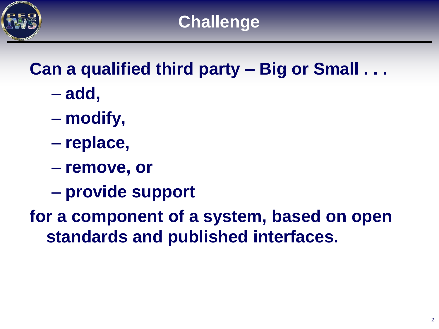

# **Can a qualified third party – Big or Small . . .**

- **add,**
- **modify,**
- **replace,**
- **remove, or**
- **provide support**

**for a component of a system, based on open standards and published interfaces.**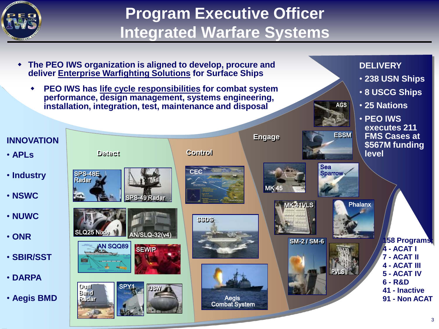

## **Program Executive Officer Integrated Warfare Systems**

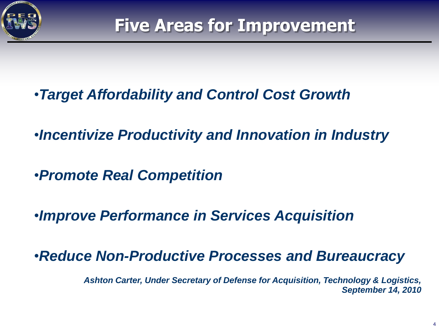

- •*Target Affordability and Control Cost Growth*
- •*Incentivize Productivity and Innovation in Industry*
- •*Promote Real Competition*
- •*Improve Performance in Services Acquisition*

•*Reduce Non-Productive Processes and Bureaucracy*

*Ashton Carter, Under Secretary of Defense for Acquisition, Technology & Logistics, September 14, 2010*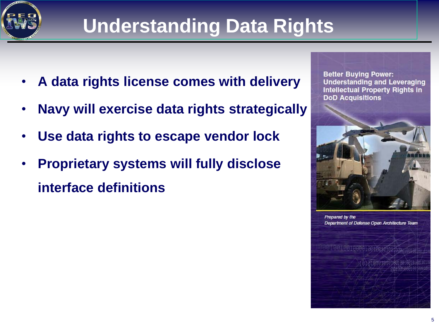

# **Understanding Data Rights**

- **A data rights license comes with delivery**
- **Navy will exercise data rights strategically**
- **Use data rights to escape vendor lock**
- **Proprietary systems will fully disclose interface definitions**

**Better Buying Power: Understanding and Leveraging Intellectual Property Rights in DoD Acquisitions** 



Prepared by the Department of Defense Open Architecture Team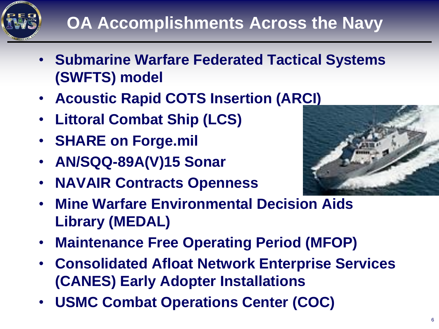

- **Submarine Warfare Federated Tactical Systems (SWFTS) model**
- **Acoustic Rapid COTS Insertion (AR[CI\)](http://www.lmlcsteam.com/?page_id=88&bcpid=57946766001&bclid=57849465001&bctid=641615699001)**
- **Littoral Combat Ship (LCS)**
- **SHARE on Forge.mil**
- **AN/SQQ-89A(V)15 Sonar**
- **NAVAIR Contracts Openness**



- **Mine Warfare Environmental Decision Aids Library (MEDAL)**
- **Maintenance Free Operating Period (MFOP)**
- **Consolidated Afloat Network Enterprise Services (CANES) Early Adopter Installations**
- **USMC Combat Operations Center (COC)**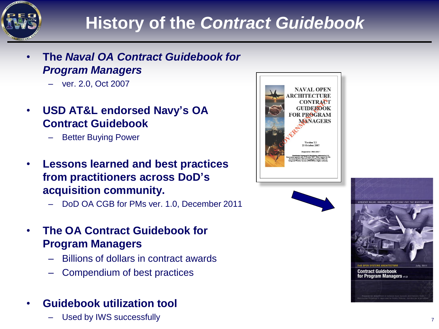

## **History of the** *Contract Guidebook*

- **The** *Naval OA Contract Guidebook for Program Managers*
	- ver. 2.0, Oct 2007
- **USD AT&L endorsed Navy's OA Contract Guidebook**
	- Better Buying Power
- **Lessons learned and best practices from practitioners across DoD's acquisition community.**
	- DoD OA CGB for PMs ver. 1.0, December 2011
- **The OA Contract Guidebook for Program Managers**
	- Billions of dollars in contract awards
	- Compendium of best practices
- **Guidebook utilization tool**
	- Used by IWS successfully *T*





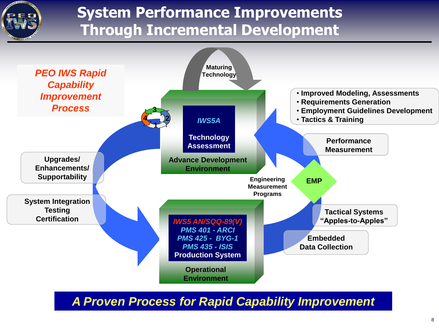

## **System Performance Improvements Through Incremental Development**



*A Proven Process for Rapid Capability Improvement*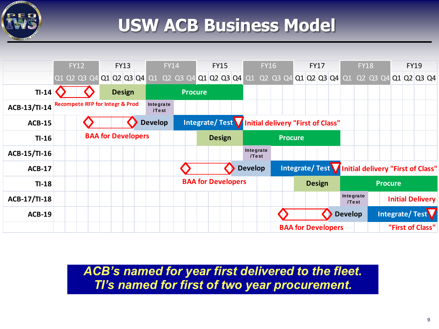

## **USW ACB Business Model**



*ACB's named for year first delivered to the fleet.*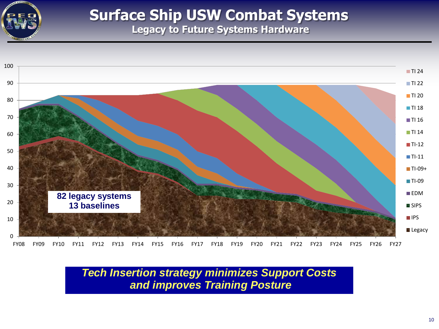

### **Surface Ship USW Combat Systems Legacy to Future Systems Hardware**



*Tech Insertion strategy minimizes Support Costs and improves Training Posture*